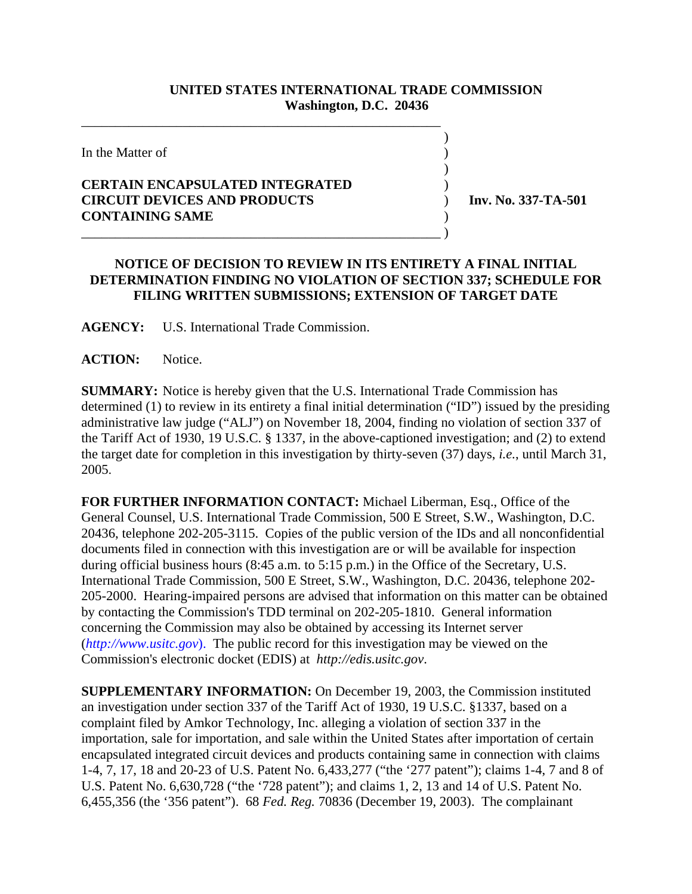## **UNITED STATES INTERNATIONAL TRADE COMMISSION Washington, D.C. 20436**

 $\overline{\phantom{a}}$ 

 $\overline{\phantom{a}}$ 

In the Matter of )

## **CERTAIN ENCAPSULATED INTEGRATED** ) **CIRCUIT DEVICES AND PRODUCTS** ) **Inv. No. 337-TA-501 CONTAINING SAME** ) \_\_\_\_\_\_\_\_\_\_\_\_\_\_\_\_\_\_\_\_\_\_\_\_\_\_\_\_\_\_\_\_\_\_\_\_\_\_\_\_\_\_\_\_\_\_\_\_\_\_\_\_\_ )

\_\_\_\_\_\_\_\_\_\_\_\_\_\_\_\_\_\_\_\_\_\_\_\_\_\_\_\_\_\_\_\_\_\_\_\_\_\_\_\_\_\_\_\_\_\_\_\_\_\_\_\_\_

## **NOTICE OF DECISION TO REVIEW IN ITS ENTIRETY A FINAL INITIAL DETERMINATION FINDING NO VIOLATION OF SECTION 337; SCHEDULE FOR FILING WRITTEN SUBMISSIONS; EXTENSION OF TARGET DATE**

**AGENCY:** U.S. International Trade Commission.

ACTION: Notice.

**SUMMARY:** Notice is hereby given that the U.S. International Trade Commission has determined (1) to review in its entirety a final initial determination ("ID") issued by the presiding administrative law judge ("ALJ") on November 18, 2004, finding no violation of section 337 of the Tariff Act of 1930, 19 U.S.C. § 1337, in the above-captioned investigation; and (2) to extend the target date for completion in this investigation by thirty-seven (37) days, *i.e.*, until March 31, 2005.

**FOR FURTHER INFORMATION CONTACT:** Michael Liberman, Esq., Office of the General Counsel, U.S. International Trade Commission, 500 E Street, S.W., Washington, D.C. 20436, telephone 202-205-3115. Copies of the public version of the IDs and all nonconfidential documents filed in connection with this investigation are or will be available for inspection during official business hours (8:45 a.m. to 5:15 p.m.) in the Office of the Secretary, U.S. International Trade Commission, 500 E Street, S.W., Washington, D.C. 20436, telephone 202- 205-2000. Hearing-impaired persons are advised that information on this matter can be obtained by contacting the Commission's TDD terminal on 202-205-1810. General information concerning the Commission may also be obtained by accessing its Internet server (*http://www.usitc.gov*). The public record for this investigation may be viewed on the Commission's electronic docket (EDIS) at *http://edis.usitc.gov*.

**SUPPLEMENTARY INFORMATION:** On December 19, 2003, the Commission instituted an investigation under section 337 of the Tariff Act of 1930, 19 U.S.C. §1337, based on a complaint filed by Amkor Technology, Inc. alleging a violation of section 337 in the importation, sale for importation, and sale within the United States after importation of certain encapsulated integrated circuit devices and products containing same in connection with claims 1-4, 7, 17, 18 and 20-23 of U.S. Patent No. 6,433,277 ("the '277 patent"); claims 1-4, 7 and 8 of U.S. Patent No. 6,630,728 ("the '728 patent"); and claims 1, 2, 13 and 14 of U.S. Patent No. 6,455,356 (the '356 patent"). 68 *Fed. Reg.* 70836 (December 19, 2003). The complainant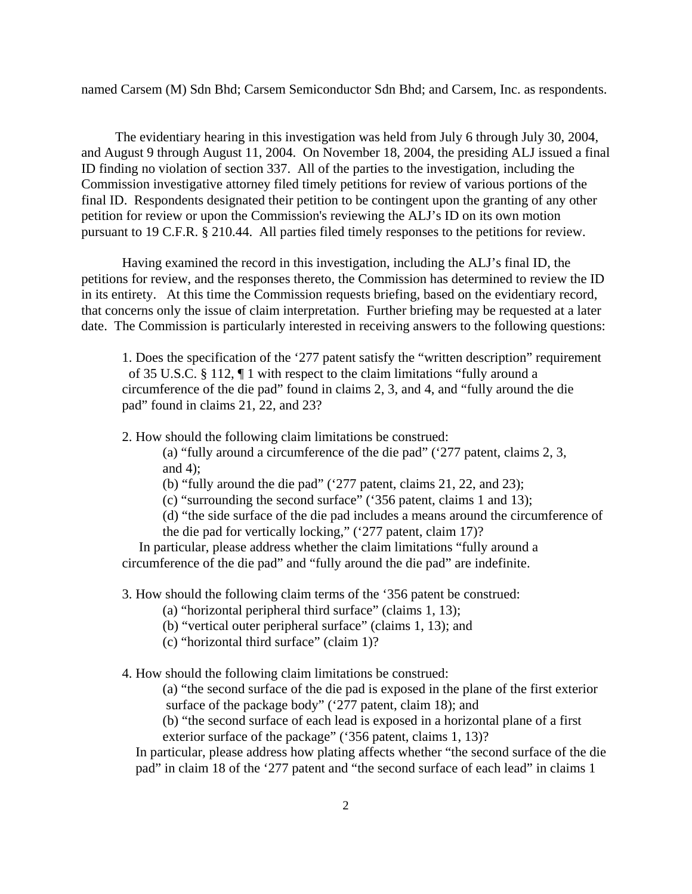named Carsem (M) Sdn Bhd; Carsem Semiconductor Sdn Bhd; and Carsem, Inc. as respondents.

 The evidentiary hearing in this investigation was held from July 6 through July 30, 2004, and August 9 through August 11, 2004. On November 18, 2004, the presiding ALJ issued a final ID finding no violation of section 337. All of the parties to the investigation, including the Commission investigative attorney filed timely petitions for review of various portions of the final ID. Respondents designated their petition to be contingent upon the granting of any other petition for review or upon the Commission's reviewing the ALJ's ID on its own motion pursuant to 19 C.F.R. § 210.44. All parties filed timely responses to the petitions for review.

Having examined the record in this investigation, including the ALJ's final ID, the petitions for review, and the responses thereto, the Commission has determined to review the ID in its entirety. At this time the Commission requests briefing, based on the evidentiary record, that concerns only the issue of claim interpretation. Further briefing may be requested at a later date. The Commission is particularly interested in receiving answers to the following questions:

1. Does the specification of the '277 patent satisfy the "written description" requirement of 35 U.S.C. § 112, ¶ 1 with respect to the claim limitations "fully around a circumference of the die pad" found in claims 2, 3, and 4, and "fully around the die pad" found in claims 21, 22, and 23?

2. How should the following claim limitations be construed:

(a) "fully around a circumference of the die pad" ('277 patent, claims 2, 3, and 4);

(b) "fully around the die pad" ('277 patent, claims 21, 22, and 23);

(c) "surrounding the second surface" ('356 patent, claims 1 and 13);

(d) "the side surface of the die pad includes a means around the circumference of the die pad for vertically locking," ('277 patent, claim 17)?

 In particular, please address whether the claim limitations "fully around a circumference of the die pad" and "fully around the die pad" are indefinite.

3. How should the following claim terms of the '356 patent be construed:

(a) "horizontal peripheral third surface" (claims 1, 13);

(b) "vertical outer peripheral surface" (claims 1, 13); and

(c) "horizontal third surface" (claim 1)?

4. How should the following claim limitations be construed:

(a) "the second surface of the die pad is exposed in the plane of the first exterior surface of the package body" ('277 patent, claim 18); and

(b) "the second surface of each lead is exposed in a horizontal plane of a first exterior surface of the package" ('356 patent, claims 1, 13)?

 In particular, please address how plating affects whether "the second surface of the die pad" in claim 18 of the '277 patent and "the second surface of each lead" in claims 1